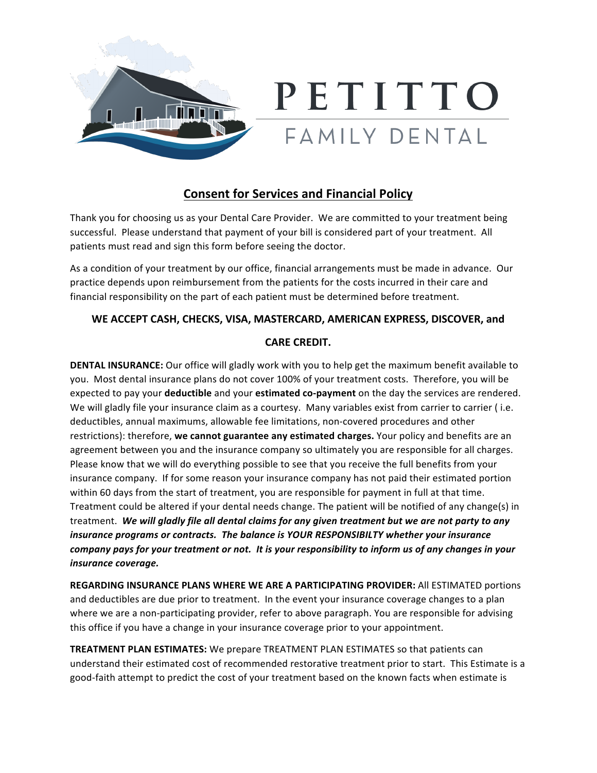

## PETITTO FAMILY DENTAL

## **Consent for Services and Financial Policy**

Thank you for choosing us as your Dental Care Provider. We are committed to your treatment being successful. Please understand that payment of your bill is considered part of your treatment. All patients must read and sign this form before seeing the doctor.

As a condition of your treatment by our office, financial arrangements must be made in advance. Our practice depends upon reimbursement from the patients for the costs incurred in their care and financial responsibility on the part of each patient must be determined before treatment.

## WE ACCEPT CASH, CHECKS, VISA, MASTERCARD, AMERICAN EXPRESS, DISCOVER, and

## **CARE CREDIT.**

**DENTAL INSURANCE:** Our office will gladly work with you to help get the maximum benefit available to you. Most dental insurance plans do not cover 100% of your treatment costs. Therefore, you will be expected to pay your **deductible** and your **estimated co-payment** on the day the services are rendered. We will gladly file your insurance claim as a courtesy. Many variables exist from carrier to carrier (i.e. deductibles, annual maximums, allowable fee limitations, non-covered procedures and other restrictions): therefore, we cannot guarantee any estimated charges. Your policy and benefits are an agreement between you and the insurance company so ultimately you are responsible for all charges. Please know that we will do everything possible to see that you receive the full benefits from your insurance company. If for some reason your insurance company has not paid their estimated portion within 60 days from the start of treatment, you are responsible for payment in full at that time. Treatment could be altered if your dental needs change. The patient will be notified of any change(s) in treatment. We will gladly file all dental claims for any given treatment but we are not party to any *insurance programs or contracts. The balance is YOUR RESPONSIBILTY whether your insurance company* pays for your treatment or not. It is your responsibility to inform us of any changes in your *insurance coverage.*

**REGARDING INSURANCE PLANS WHERE WE ARE A PARTICIPATING PROVIDER:** All ESTIMATED portions and deductibles are due prior to treatment. In the event your insurance coverage changes to a plan where we are a non-participating provider, refer to above paragraph. You are responsible for advising this office if you have a change in your insurance coverage prior to your appointment.

**TREATMENT PLAN ESTIMATES:** We prepare TREATMENT PLAN ESTIMATES so that patients can understand their estimated cost of recommended restorative treatment prior to start. This Estimate is a good-faith attempt to predict the cost of your treatment based on the known facts when estimate is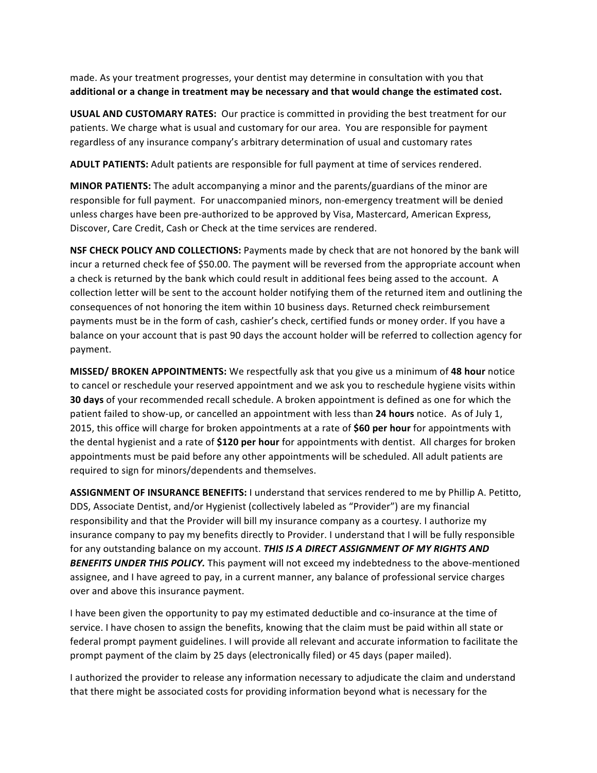made. As your treatment progresses, your dentist may determine in consultation with you that additional or a change in treatment may be necessary and that would change the estimated cost.

**USUAL AND CUSTOMARY RATES:** Our practice is committed in providing the best treatment for our patients. We charge what is usual and customary for our area. You are responsible for payment regardless of any insurance company's arbitrary determination of usual and customary rates

**ADULT PATIENTS:** Adult patients are responsible for full payment at time of services rendered.

**MINOR PATIENTS:** The adult accompanying a minor and the parents/guardians of the minor are responsible for full payment. For unaccompanied minors, non-emergency treatment will be denied unless charges have been pre-authorized to be approved by Visa, Mastercard, American Express, Discover, Care Credit, Cash or Check at the time services are rendered.

**NSF CHECK POLICY AND COLLECTIONS:** Payments made by check that are not honored by the bank will incur a returned check fee of \$50.00. The payment will be reversed from the appropriate account when a check is returned by the bank which could result in additional fees being assed to the account. A collection letter will be sent to the account holder notifying them of the returned item and outlining the consequences of not honoring the item within 10 business days. Returned check reimbursement payments must be in the form of cash, cashier's check, certified funds or money order. If you have a balance on your account that is past 90 days the account holder will be referred to collection agency for payment.

**MISSED/ BROKEN APPOINTMENTS:** We respectfully ask that you give us a minimum of 48 hour notice to cancel or reschedule your reserved appointment and we ask you to reschedule hygiene visits within **30 days** of your recommended recall schedule. A broken appointment is defined as one for which the patient failed to show-up, or cancelled an appointment with less than 24 hours notice. As of July 1, 2015, this office will charge for broken appointments at a rate of **\$60 per hour** for appointments with the dental hygienist and a rate of \$120 per hour for appointments with dentist. All charges for broken appointments must be paid before any other appointments will be scheduled. All adult patients are required to sign for minors/dependents and themselves.

ASSIGNMENT OF INSURANCE BENEFITS: I understand that services rendered to me by Phillip A. Petitto, DDS, Associate Dentist, and/or Hygienist (collectively labeled as "Provider") are my financial responsibility and that the Provider will bill my insurance company as a courtesy. I authorize my insurance company to pay my benefits directly to Provider. I understand that I will be fully responsible for any outstanding balance on my account. THIS IS A DIRECT ASSIGNMENT OF MY RIGHTS AND **BENEFITS UNDER THIS POLICY.** This payment will not exceed my indebtedness to the above-mentioned assignee, and I have agreed to pay, in a current manner, any balance of professional service charges over and above this insurance payment.

I have been given the opportunity to pay my estimated deductible and co-insurance at the time of service. I have chosen to assign the benefits, knowing that the claim must be paid within all state or federal prompt payment guidelines. I will provide all relevant and accurate information to facilitate the prompt payment of the claim by 25 days (electronically filed) or 45 days (paper mailed).

I authorized the provider to release any information necessary to adjudicate the claim and understand that there might be associated costs for providing information beyond what is necessary for the